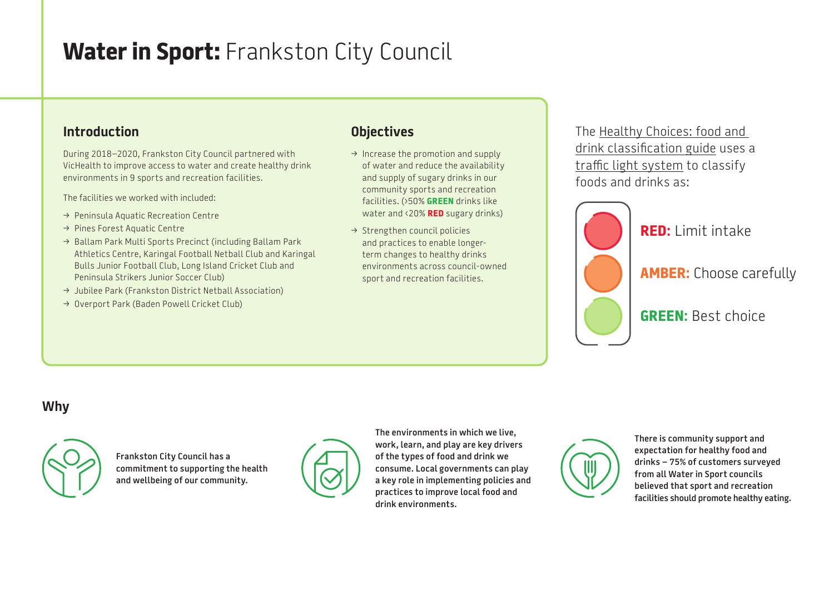# **Water in Sport: Frankston City Council**

#### **Introduction**

During 2018–2020, Frankston City Council partnered with VicHealth to improve access to water and create healthy drink environments in 9 sports and recreation facilities.

The facilities we worked with included:

- → Peninsula Aquatic Recreation Centre
- > Pines Forest Aquatic Centre
- > Ballam Park Multi Sports Precinct (including Ballam Park Athletics Centre, Karingal Football Netball Club and Karingal Bulls Junior Football Club, Long Island Cricket Club and Peninsula Strikers Junior Soccer Club)
- $\rightarrow$  Jubilee Park (Frankston District Netball Association)
- → Overport Park (Baden Powell Cricket Club)

#### **Objectives**

- $\rightarrow$  Increase the promotion and supply of water and reduce the availability and supply of sugary drinks in our community sports and recreation facilities. (›50% **GREEN** drinks like water and ‹20% **RED** sugary drinks)
- $\rightarrow$  Strengthen council policies and practices to enable longerterm changes to healthy drinks environments across council-owned sport and recreation facilities.

The [Healthy Choices: food and](https://www2.health.vic.gov.au/public-health/preventive-health/nutrition/healthy-choices-for-retail-outlets-vending-machines-catering)  [drink classification guide](https://www2.health.vic.gov.au/public-health/preventive-health/nutrition/healthy-choices-for-retail-outlets-vending-machines-catering) uses a [traffic light system](https://heas.health.vic.gov.au/healthy-choices/guidelines/traffic-light-system) to classify foods and drinks as:



### **Why**



**Frankston City Council has a commitment to supporting the health and wellbeing of our community.**



**The environments in which we live, work, learn, and play are key drivers of the types of food and drink we consume. Local governments can play a key role in implementing policies and practices to improve local food and drink environments.**

**There is community support and expectation for healthy food and drinks – 75% of customers surveyed from all Water in Sport councils believed that sport and recreation facilities should promote healthy eating.**